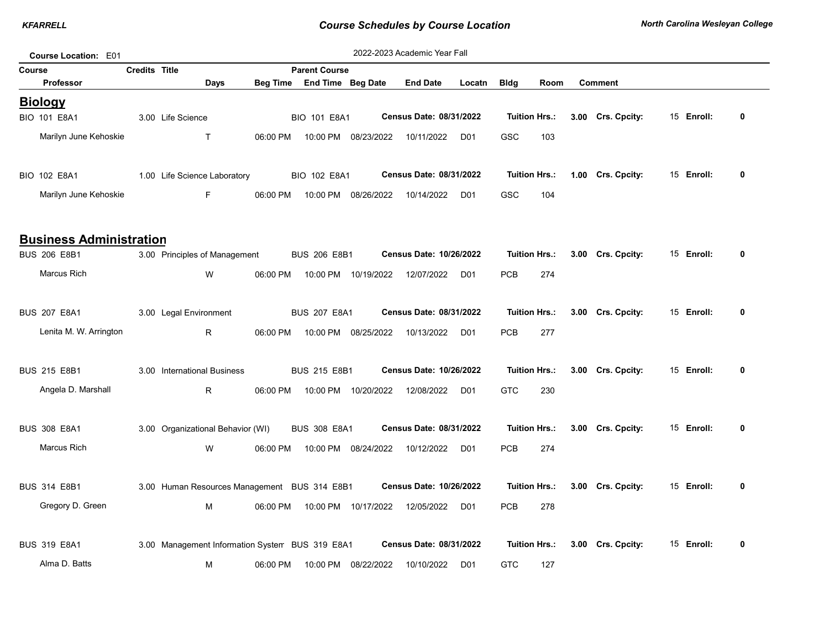| Course Location: E01           |                      |                                                 |          |                            |                      | 2022-2023 Academic Year Fall   |                 |             |                      |                   |            |              |
|--------------------------------|----------------------|-------------------------------------------------|----------|----------------------------|----------------------|--------------------------------|-----------------|-------------|----------------------|-------------------|------------|--------------|
| Course                         | <b>Credits Title</b> |                                                 |          | <b>Parent Course</b>       |                      |                                |                 |             |                      |                   |            |              |
| <b>Professor</b>               |                      | Days                                            |          | Beg Time End Time Beg Date |                      | <b>End Date</b>                | Locatn          | <b>Bldg</b> | Room                 | <b>Comment</b>    |            |              |
| <b>Biology</b>                 |                      |                                                 |          |                            |                      |                                |                 |             |                      |                   |            |              |
| <b>BIO 101 E8A1</b>            |                      | 3.00 Life Science                               |          | BIO 101 E8A1               |                      | <b>Census Date: 08/31/2022</b> |                 |             | <b>Tuition Hrs.:</b> | 3.00 Crs. Cpcity: | 15 Enroll: | 0            |
| Marilyn June Kehoskie          |                      | $\mathsf{T}$                                    | 06:00 PM | 10:00 PM                   | 08/23/2022           | 10/11/2022                     | D <sub>01</sub> | GSC         | 103                  |                   |            |              |
|                                |                      |                                                 |          |                            |                      |                                |                 |             |                      |                   |            |              |
| BIO 102 E8A1                   |                      | 1.00 Life Science Laboratory                    |          | BIO 102 E8A1               |                      | Census Date: 08/31/2022        |                 |             | <b>Tuition Hrs.:</b> | 1.00 Crs. Cpcity: | 15 Enroll: | $\mathbf{0}$ |
| Marilyn June Kehoskie          |                      | F                                               | 06:00 PM |                            | 10:00 PM 08/26/2022  | 10/14/2022                     | D <sub>01</sub> | GSC         | 104                  |                   |            |              |
|                                |                      |                                                 |          |                            |                      |                                |                 |             |                      |                   |            |              |
|                                |                      |                                                 |          |                            |                      |                                |                 |             |                      |                   |            |              |
| <b>Business Administration</b> |                      |                                                 |          |                            |                      |                                |                 |             |                      |                   |            |              |
| <b>BUS 206 E8B1</b>            |                      | 3.00 Principles of Management                   |          | <b>BUS 206 E8B1</b>        |                      | Census Date: 10/26/2022        |                 |             | <b>Tuition Hrs.:</b> | 3.00 Crs. Cpcity: | 15 Enroll: | 0            |
| Marcus Rich                    |                      | W                                               | 06:00 PM |                            | 10:00 PM  10/19/2022 | 12/07/2022                     | D <sub>01</sub> | <b>PCB</b>  | 274                  |                   |            |              |
|                                |                      |                                                 |          |                            |                      |                                |                 |             |                      |                   |            |              |
| <b>BUS 207 E8A1</b>            |                      | 3.00 Legal Environment                          |          | <b>BUS 207 E8A1</b>        |                      | <b>Census Date: 08/31/2022</b> |                 |             | <b>Tuition Hrs.:</b> | 3.00 Crs. Cpcity: | 15 Enroll: | 0            |
| Lenita M. W. Arrington         |                      | R                                               | 06:00 PM |                            | 10:00 PM 08/25/2022  | 10/13/2022                     | D <sub>01</sub> | <b>PCB</b>  | 277                  |                   |            |              |
|                                |                      |                                                 |          |                            |                      |                                |                 |             |                      |                   |            |              |
| <b>BUS 215 E8B1</b>            |                      | 3.00 International Business                     |          | <b>BUS 215 E8B1</b>        |                      | Census Date: 10/26/2022        |                 |             | <b>Tuition Hrs.:</b> | 3.00 Crs. Cpcity: | 15 Enroll: | 0            |
|                                |                      |                                                 |          |                            |                      |                                |                 |             |                      |                   |            |              |
| Angela D. Marshall             |                      | R                                               | 06:00 PM |                            | 10:00 PM 10/20/2022  | 12/08/2022                     | D <sub>01</sub> | <b>GTC</b>  | 230                  |                   |            |              |
|                                |                      |                                                 |          |                            |                      |                                |                 |             |                      |                   |            |              |
| <b>BUS 308 E8A1</b>            |                      | 3.00 Organizational Behavior (WI)               |          | <b>BUS 308 E8A1</b>        |                      | Census Date: 08/31/2022        |                 |             | <b>Tuition Hrs.:</b> | 3.00 Crs. Cpcity: | 15 Enroll: | 0            |
| <b>Marcus Rich</b>             |                      | W                                               | 06:00 PM |                            | 10:00 PM 08/24/2022  | 10/12/2022                     | D <sub>01</sub> | <b>PCB</b>  | 274                  |                   |            |              |
|                                |                      |                                                 |          |                            |                      |                                |                 |             |                      |                   |            |              |
| <b>BUS 314 E8B1</b>            |                      | 3.00 Human Resources Management BUS 314 E8B1    |          |                            |                      | Census Date: 10/26/2022        |                 |             | <b>Tuition Hrs.:</b> | 3.00 Crs. Cpcity: | 15 Enroll: | 0            |
| Gregory D. Green               |                      | M                                               | 06:00 PM |                            | 10:00 PM 10/17/2022  | 12/05/2022                     | D <sub>01</sub> | <b>PCB</b>  | 278                  |                   |            |              |
|                                |                      |                                                 |          |                            |                      |                                |                 |             |                      |                   |            |              |
| <b>BUS 319 E8A1</b>            |                      | 3.00 Management Information System BUS 319 E8A1 |          |                            |                      | Census Date: 08/31/2022        |                 |             | <b>Tuition Hrs.:</b> | 3.00 Crs. Cpcity: | 15 Enroll: | 0            |
|                                |                      |                                                 |          |                            |                      |                                |                 |             |                      |                   |            |              |
| Alma D. Batts                  |                      | М                                               | 06:00 PM |                            | 10:00 PM 08/22/2022  | 10/10/2022                     | D <sub>01</sub> | <b>GTC</b>  | 127                  |                   |            |              |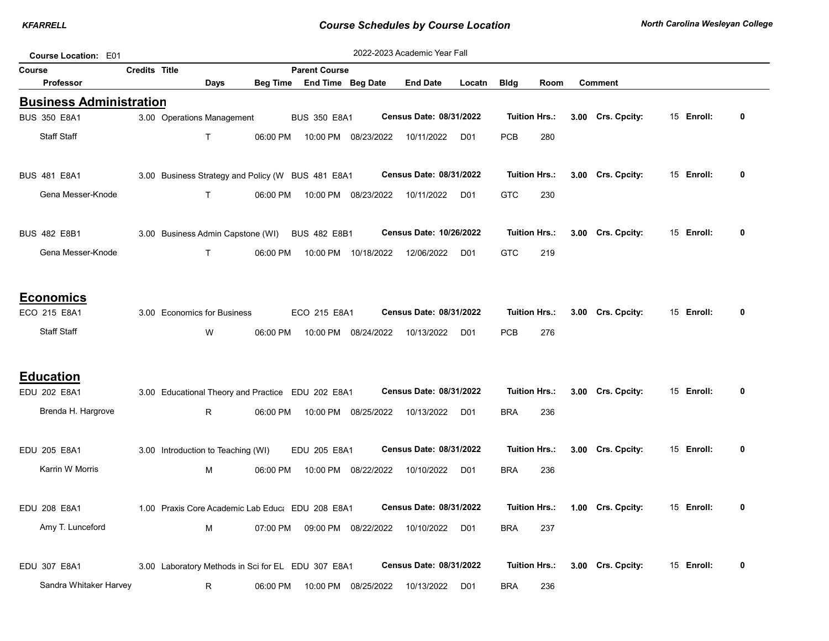| Course Location: E01           |               |                                    |          |                                                    |                     | 2022-2023 Academic Year Fall |                 |             |                      |      |                   |            |   |
|--------------------------------|---------------|------------------------------------|----------|----------------------------------------------------|---------------------|------------------------------|-----------------|-------------|----------------------|------|-------------------|------------|---|
| Course                         | Credits Title |                                    |          | <b>Parent Course</b>                               |                     |                              |                 |             |                      |      |                   |            |   |
| Professor                      |               | <b>Days</b>                        | Beg Time |                                                    | End Time Beg Date   | <b>End Date</b>              | Locatn          | <b>Bldg</b> | Room                 |      | <b>Comment</b>    |            |   |
| <b>Business Administration</b> |               |                                    |          |                                                    |                     |                              |                 |             |                      |      |                   |            |   |
| <b>BUS 350 E8A1</b>            |               | 3.00 Operations Management         |          | <b>BUS 350 E8A1</b>                                |                     | Census Date: 08/31/2022      |                 |             | <b>Tuition Hrs.:</b> |      | 3.00 Crs. Cpcity: | 15 Enroll: | 0 |
| <b>Staff Staff</b>             |               | $\mathsf{T}$                       | 06:00 PM |                                                    | 10:00 PM 08/23/2022 | 10/11/2022                   | D <sub>01</sub> | <b>PCB</b>  | 280                  |      |                   |            |   |
| <b>BUS 481 E8A1</b>            |               |                                    |          | 3.00 Business Strategy and Policy (W BUS 481 E8A1  |                     | Census Date: 08/31/2022      |                 |             | <b>Tuition Hrs.:</b> |      | 3.00 Crs. Cpcity: | 15 Enroll: | 0 |
| Gena Messer-Knode              |               | $\mathsf{T}$                       | 06:00 PM |                                                    | 10:00 PM 08/23/2022 | 10/11/2022                   | D <sub>01</sub> | GTC         | 230                  |      |                   |            |   |
| <b>BUS 482 E8B1</b>            |               | 3.00 Business Admin Capstone (WI)  |          | <b>BUS 482 E8B1</b>                                |                     | Census Date: 10/26/2022      |                 |             | <b>Tuition Hrs.:</b> |      | 3.00 Crs. Cpcity: | 15 Enroll: | 0 |
| Gena Messer-Knode              |               | $\mathsf{T}$                       | 06:00 PM |                                                    | 10:00 PM 10/18/2022 | 12/06/2022                   | D <sub>01</sub> | <b>GTC</b>  | 219                  |      |                   |            |   |
| <b>Economics</b>               |               |                                    |          |                                                    |                     |                              |                 |             |                      |      |                   |            |   |
| ECO 215 E8A1                   |               | 3.00 Economics for Business        |          | ECO 215 E8A1                                       |                     | Census Date: 08/31/2022      |                 |             | <b>Tuition Hrs.:</b> |      | 3.00 Crs. Cpcity: | 15 Enroll: | 0 |
| <b>Staff Staff</b>             |               | W                                  | 06:00 PM |                                                    | 10:00 PM 08/24/2022 | 10/13/2022                   | D <sub>01</sub> | <b>PCB</b>  | 276                  |      |                   |            |   |
| <b>Education</b>               |               |                                    |          |                                                    |                     |                              |                 |             |                      |      |                   |            |   |
| EDU 202 E8A1                   |               |                                    |          | 3.00 Educational Theory and Practice EDU 202 E8A1  |                     | Census Date: 08/31/2022      |                 |             | <b>Tuition Hrs.:</b> | 3.00 | Crs. Cpcity:      | 15 Enroll: | 0 |
| Brenda H. Hargrove             |               | R                                  | 06:00 PM |                                                    | 10:00 PM 08/25/2022 | 10/13/2022                   | D <sub>01</sub> | <b>BRA</b>  | 236                  |      |                   |            |   |
| EDU 205 E8A1                   |               | 3.00 Introduction to Teaching (WI) |          | EDU 205 E8A1                                       |                     | Census Date: 08/31/2022      |                 |             | <b>Tuition Hrs.:</b> |      | 3.00 Crs. Cpcity: | 15 Enroll: | 0 |
| Karrin W Morris                |               | M                                  | 06:00 PM |                                                    | 10:00 PM 08/22/2022 | 10/10/2022                   | D <sub>01</sub> | <b>BRA</b>  | 236                  |      |                   |            |   |
| EDU 208 E8A1                   |               |                                    |          | 1.00 Praxis Core Academic Lab Educa EDU 208 E8A1   |                     | Census Date: 08/31/2022      |                 |             | <b>Tuition Hrs.:</b> |      | 1.00 Crs. Cpcity: | 15 Enroll: | 0 |
| Amy T. Lunceford               |               | м                                  | 07:00 PM |                                                    | 09:00 PM 08/22/2022 | 10/10/2022                   | D <sub>01</sub> | <b>BRA</b>  | 237                  |      |                   |            |   |
| EDU 307 E8A1                   |               |                                    |          | 3.00 Laboratory Methods in Sci for EL EDU 307 E8A1 |                     | Census Date: 08/31/2022      |                 |             | <b>Tuition Hrs.:</b> |      | 3.00 Crs. Cpcity: | 15 Enroll: | 0 |
| Sandra Whitaker Harvey         |               | R                                  | 06:00 PM | 10:00 PM                                           | 08/25/2022          | 10/13/2022                   | D <sub>01</sub> | <b>BRA</b>  | 236                  |      |                   |            |   |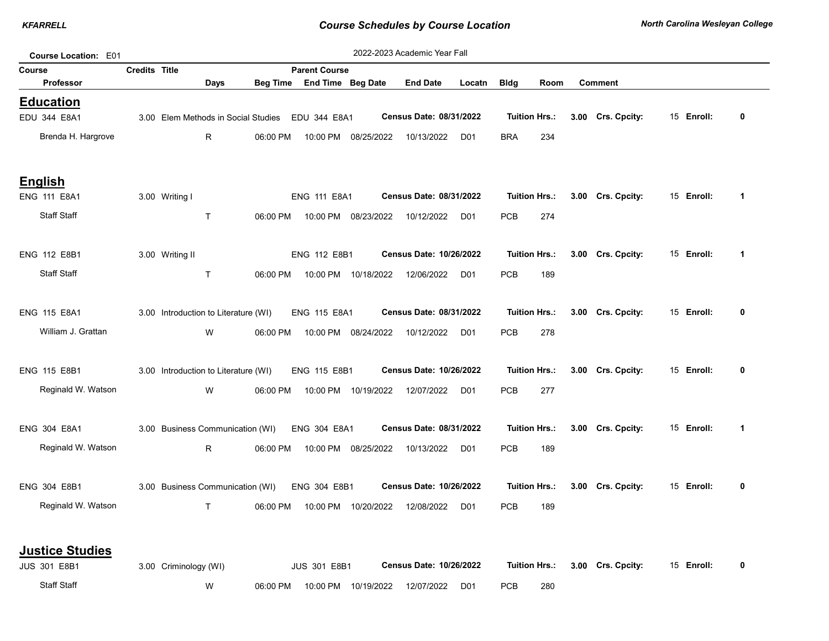| Course Location: E01   |                      |                                      |      |                 |                                                  |                      | 2022-2023 Academic Year Fall   |                 |             |                      |      |                   |            |             |
|------------------------|----------------------|--------------------------------------|------|-----------------|--------------------------------------------------|----------------------|--------------------------------|-----------------|-------------|----------------------|------|-------------------|------------|-------------|
| Course                 | <b>Credits Title</b> |                                      |      |                 | <b>Parent Course</b>                             |                      |                                |                 |             |                      |      |                   |            |             |
| Professor              |                      |                                      | Days | <b>Beg Time</b> | End Time Beg Date                                |                      | <b>End Date</b>                | Locatn          | <b>Bldg</b> | Room                 |      | <b>Comment</b>    |            |             |
| <b>Education</b>       |                      |                                      |      |                 |                                                  |                      |                                |                 |             |                      |      |                   |            |             |
| EDU 344 E8A1           |                      |                                      |      |                 | 3.00 Elem Methods in Social Studies EDU 344 E8A1 |                      | Census Date: 08/31/2022        |                 |             | <b>Tuition Hrs.:</b> | 3.00 | Crs. Cpcity:      | 15 Enroll: | $\pmb{0}$   |
| Brenda H. Hargrove     |                      |                                      | R    | 06:00 PM        |                                                  | 10:00 PM 08/25/2022  | 10/13/2022                     | D01             | <b>BRA</b>  | 234                  |      |                   |            |             |
| <b>English</b>         |                      |                                      |      |                 |                                                  |                      |                                |                 |             |                      |      |                   |            |             |
| <b>ENG 111 E8A1</b>    |                      | 3.00 Writing I                       |      |                 | <b>ENG 111 E8A1</b>                              |                      | Census Date: 08/31/2022        |                 |             | <b>Tuition Hrs.:</b> |      | 3.00 Crs. Cpcity: | 15 Enroll: | 1           |
| <b>Staff Staff</b>     |                      | $\mathsf{T}$                         |      | 06:00 PM        |                                                  | 10:00 PM 08/23/2022  | 10/12/2022                     | D01             | <b>PCB</b>  | 274                  |      |                   |            |             |
| ENG 112 E8B1           |                      | 3.00 Writing II                      |      |                 | ENG 112 E8B1                                     |                      | <b>Census Date: 10/26/2022</b> |                 |             | <b>Tuition Hrs.:</b> |      | 3.00 Crs. Cpcity: | 15 Enroll: | $\mathbf 1$ |
| <b>Staff Staff</b>     |                      | $\mathsf T$                          |      | 06:00 PM        |                                                  | 10:00 PM 10/18/2022  | 12/06/2022                     | D01             | PCB         | 189                  |      |                   |            |             |
| <b>ENG 115 E8A1</b>    |                      | 3.00 Introduction to Literature (WI) |      |                 | ENG 115 E8A1                                     |                      | Census Date: 08/31/2022        |                 |             | <b>Tuition Hrs.:</b> |      | 3.00 Crs. Cpcity: | 15 Enroll: | 0           |
| William J. Grattan     |                      |                                      | W    | 06:00 PM        |                                                  | 10:00 PM 08/24/2022  | 10/12/2022                     | D01             | PCB         | 278                  |      |                   |            |             |
| ENG 115 E8B1           |                      | 3.00 Introduction to Literature (WI) |      |                 | ENG 115 E8B1                                     |                      | <b>Census Date: 10/26/2022</b> |                 |             | <b>Tuition Hrs.:</b> |      | 3.00 Crs. Cpcity: | 15 Enroll: | 0           |
| Reginald W. Watson     |                      |                                      | W    | 06:00 PM        |                                                  | 10:00 PM  10/19/2022 | 12/07/2022                     | D01             | <b>PCB</b>  | 277                  |      |                   |            |             |
| ENG 304 E8A1           |                      | 3.00 Business Communication (WI)     |      |                 | ENG 304 E8A1                                     |                      | Census Date: 08/31/2022        |                 |             | <b>Tuition Hrs.:</b> |      | 3.00 Crs. Cpcity: | 15 Enroll: | 1           |
| Reginald W. Watson     |                      |                                      | R.   | 06:00 PM        |                                                  | 10:00 PM 08/25/2022  | 10/13/2022                     | D01             | <b>PCB</b>  | 189                  |      |                   |            |             |
| ENG 304 E8B1           |                      | 3.00 Business Communication (WI)     |      |                 | ENG 304 E8B1                                     |                      | <b>Census Date: 10/26/2022</b> |                 |             | <b>Tuition Hrs.:</b> |      | 3.00 Crs. Cpcity: | 15 Enroll: | 0           |
| Reginald W. Watson     |                      |                                      | T    | 06:00 PM        |                                                  | 10:00 PM 10/20/2022  | 12/08/2022                     | D <sub>01</sub> | <b>PCB</b>  | 189                  |      |                   |            |             |
| <b>Justice Studies</b> |                      |                                      |      |                 |                                                  |                      |                                |                 |             |                      |      |                   |            |             |
| <b>JUS 301 E8B1</b>    |                      | 3.00 Criminology (WI)                |      |                 | <b>JUS 301 E8B1</b>                              |                      | <b>Census Date: 10/26/2022</b> |                 |             | <b>Tuition Hrs.:</b> |      | 3.00 Crs. Cpcity: | 15 Enroll: | 0           |
| <b>Staff Staff</b>     |                      |                                      | W    | 06:00 PM        | 10:00 PM                                         | 10/19/2022           | 12/07/2022                     | D <sub>01</sub> | PCB         | 280                  |      |                   |            |             |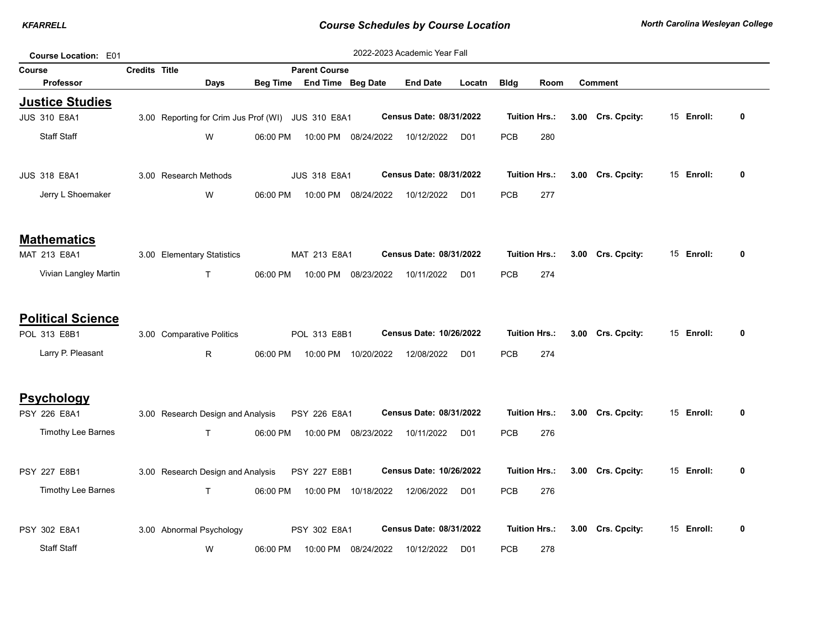| Course Location: E01                          |                      |                                                    |                 |                      |                     | 2022-2023 Academic Year Fall   |                 |             |                      |                   |            |             |
|-----------------------------------------------|----------------------|----------------------------------------------------|-----------------|----------------------|---------------------|--------------------------------|-----------------|-------------|----------------------|-------------------|------------|-------------|
| Course                                        | <b>Credits Title</b> |                                                    |                 | <b>Parent Course</b> |                     |                                |                 |             |                      |                   |            |             |
| <b>Professor</b>                              |                      | Days                                               | <b>Beg Time</b> | End Time Beg Date    |                     | <b>End Date</b>                | Locatn          | <b>Bldg</b> | Room                 | <b>Comment</b>    |            |             |
| <b>Justice Studies</b><br><b>JUS 310 E8A1</b> |                      | 3.00 Reporting for Crim Jus Prof (WI) JUS 310 E8A1 |                 |                      |                     | Census Date: 08/31/2022        |                 |             | <b>Tuition Hrs.:</b> | 3.00 Crs. Cpcity: | 15 Enroll: | 0           |
|                                               |                      |                                                    |                 |                      |                     |                                |                 |             |                      |                   |            |             |
| <b>Staff Staff</b>                            |                      | W                                                  | 06:00 PM        | 10:00 PM             | 08/24/2022          | 10/12/2022                     | D <sub>01</sub> | <b>PCB</b>  | 280                  |                   |            |             |
| <b>JUS 318 E8A1</b>                           |                      | 3.00 Research Methods                              |                 | <b>JUS 318 E8A1</b>  |                     | Census Date: 08/31/2022        |                 |             | <b>Tuition Hrs.:</b> | 3.00 Crs. Cpcity: | 15 Enroll: | 0           |
| Jerry L Shoemaker                             |                      | W                                                  | 06:00 PM        |                      | 10:00 PM 08/24/2022 | 10/12/2022                     | D <sub>01</sub> | <b>PCB</b>  | 277                  |                   |            |             |
| <b>Mathematics</b>                            |                      |                                                    |                 |                      |                     |                                |                 |             |                      |                   |            |             |
| MAT 213 E8A1                                  |                      | 3.00 Elementary Statistics                         |                 | MAT 213 E8A1         |                     | Census Date: 08/31/2022        |                 |             | <b>Tuition Hrs.:</b> | 3.00 Crs. Cpcity: | 15 Enroll: | 0           |
| Vivian Langley Martin                         |                      | T                                                  | 06:00 PM        |                      | 10:00 PM 08/23/2022 | 10/11/2022                     | D <sub>01</sub> | <b>PCB</b>  | 274                  |                   |            |             |
| <b>Political Science</b>                      |                      |                                                    |                 |                      |                     |                                |                 |             |                      |                   |            |             |
| POL 313 E8B1                                  |                      | 3.00 Comparative Politics                          |                 | POL 313 E8B1         |                     | Census Date: 10/26/2022        |                 |             | <b>Tuition Hrs.:</b> | 3.00 Crs. Cpcity: | 15 Enroll: | 0           |
| Larry P. Pleasant                             |                      | R.                                                 | 06:00 PM        |                      | 10:00 PM 10/20/2022 | 12/08/2022                     | D <sub>01</sub> | <b>PCB</b>  | 274                  |                   |            |             |
| <b>Psychology</b>                             |                      |                                                    |                 |                      |                     |                                |                 |             |                      |                   |            |             |
| PSY 226 E8A1                                  |                      | 3.00 Research Design and Analysis                  |                 | PSY 226 E8A1         |                     | Census Date: 08/31/2022        |                 |             | <b>Tuition Hrs.:</b> | 3.00 Crs. Cpcity: | 15 Enroll: | 0           |
| <b>Timothy Lee Barnes</b>                     |                      | $\mathsf{T}$                                       | 06:00 PM        | 10:00 PM             | 08/23/2022          | 10/11/2022                     | D <sub>01</sub> | <b>PCB</b>  | 276                  |                   |            |             |
| PSY 227 E8B1                                  |                      | 3.00 Research Design and Analysis                  |                 | PSY 227 E8B1         |                     | <b>Census Date: 10/26/2022</b> |                 |             | <b>Tuition Hrs.:</b> | 3.00 Crs. Cpcity: | 15 Enroll: | 0           |
| Timothy Lee Barnes                            |                      | T                                                  | 06:00 PM        |                      | 10:00 PM 10/18/2022 | 12/06/2022                     | D <sub>01</sub> | <b>PCB</b>  | 276                  |                   |            |             |
| PSY 302 E8A1                                  |                      | 3.00 Abnormal Psychology                           |                 | PSY 302 E8A1         |                     | Census Date: 08/31/2022        |                 |             | <b>Tuition Hrs.:</b> | 3.00 Crs. Cpcity: | 15 Enroll: | $\mathbf 0$ |
| <b>Staff Staff</b>                            |                      | W                                                  | 06:00 PM        |                      | 10:00 PM 08/24/2022 | 10/12/2022                     | D <sub>01</sub> | <b>PCB</b>  | 278                  |                   |            |             |